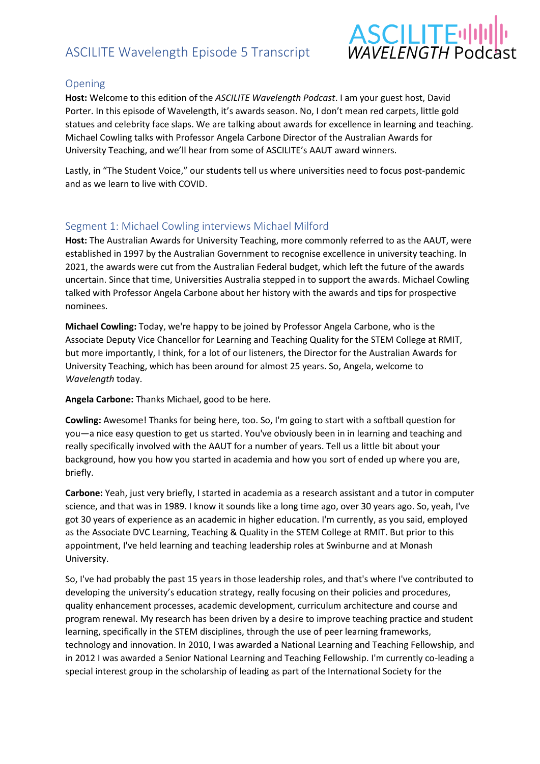# ASCILITE Wavelength Episode 5 Transcript



## Opening

**Host:** Welcome to this edition of the *ASCILITE Wavelength Podcast*. I am your guest host, David Porter. In this episode of Wavelength, it's awards season. No, I don't mean red carpets, little gold statues and celebrity face slaps. We are talking about awards for excellence in learning and teaching. Michael Cowling talks with Professor Angela Carbone Director of the Australian Awards for University Teaching, and we'll hear from some of ASCILITE's AAUT award winners.

Lastly, in "The Student Voice," our students tell us where universities need to focus post-pandemic and as we learn to live with COVID.

## Segment 1: Michael Cowling interviews Michael Milford

**Host:** The Australian Awards for University Teaching, more commonly referred to as the AAUT, were established in 1997 by the Australian Government to recognise excellence in university teaching. In 2021, the awards were cut from the Australian Federal budget, which left the future of the awards uncertain. Since that time, Universities Australia stepped in to support the awards. Michael Cowling talked with Professor Angela Carbone about her history with the awards and tips for prospective nominees.

**Michael Cowling:** Today, we're happy to be joined by Professor Angela Carbone, who is the Associate Deputy Vice Chancellor for Learning and Teaching Quality for the STEM College at RMIT, but more importantly, I think, for a lot of our listeners, the Director for the Australian Awards for University Teaching, which has been around for almost 25 years. So, Angela, welcome to *Wavelength* today.

**Angela Carbone:** Thanks Michael, good to be here.

**Cowling:** Awesome! Thanks for being here, too. So, I'm going to start with a softball question for you—a nice easy question to get us started. You've obviously been in in learning and teaching and really specifically involved with the AAUT for a number of years. Tell us a little bit about your background, how you how you started in academia and how you sort of ended up where you are, briefly.

**Carbone:** Yeah, just very briefly, I started in academia as a research assistant and a tutor in computer science, and that was in 1989. I know it sounds like a long time ago, over 30 years ago. So, yeah, I've got 30 years of experience as an academic in higher education. I'm currently, as you said, employed as the Associate DVC Learning, Teaching & Quality in the STEM College at RMIT. But prior to this appointment, I've held learning and teaching leadership roles at Swinburne and at Monash University.

So, I've had probably the past 15 years in those leadership roles, and that's where I've contributed to developing the university's education strategy, really focusing on their policies and procedures, quality enhancement processes, academic development, curriculum architecture and course and program renewal. My research has been driven by a desire to improve teaching practice and student learning, specifically in the STEM disciplines, through the use of peer learning frameworks, technology and innovation. In 2010, I was awarded a National Learning and Teaching Fellowship, and in 2012 I was awarded a Senior National Learning and Teaching Fellowship. I'm currently co-leading a special interest group in the scholarship of leading as part of the International Society for the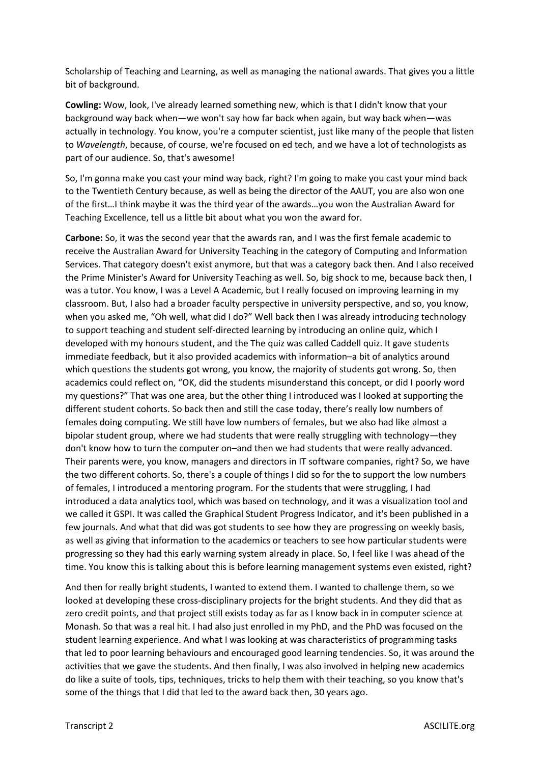Scholarship of Teaching and Learning, as well as managing the national awards. That gives you a little bit of background.

**Cowling:** Wow, look, I've already learned something new, which is that I didn't know that your background way back when—we won't say how far back when again, but way back when—was actually in technology. You know, you're a computer scientist, just like many of the people that listen to *Wavelength*, because, of course, we're focused on ed tech, and we have a lot of technologists as part of our audience. So, that's awesome!

So, I'm gonna make you cast your mind way back, right? I'm going to make you cast your mind back to the Twentieth Century because, as well as being the director of the AAUT, you are also won one of the first…I think maybe it was the third year of the awards…you won the Australian Award for Teaching Excellence, tell us a little bit about what you won the award for.

**Carbone:** So, it was the second year that the awards ran, and I was the first female academic to receive the Australian Award for University Teaching in the category of Computing and Information Services. That category doesn't exist anymore, but that was a category back then. And I also received the Prime Minister's Award for University Teaching as well. So, big shock to me, because back then, I was a tutor. You know, I was a Level A Academic, but I really focused on improving learning in my classroom. But, I also had a broader faculty perspective in university perspective, and so, you know, when you asked me, "Oh well, what did I do?" Well back then I was already introducing technology to support teaching and student self-directed learning by introducing an online quiz, which I developed with my honours student, and the The quiz was called Caddell quiz. It gave students immediate feedback, but it also provided academics with information–a bit of analytics around which questions the students got wrong, you know, the majority of students got wrong. So, then academics could reflect on, "OK, did the students misunderstand this concept, or did I poorly word my questions?" That was one area, but the other thing I introduced was I looked at supporting the different student cohorts. So back then and still the case today, there's really low numbers of females doing computing. We still have low numbers of females, but we also had like almost a bipolar student group, where we had students that were really struggling with technology—they don't know how to turn the computer on–and then we had students that were really advanced. Their parents were, you know, managers and directors in IT software companies, right? So, we have the two different cohorts. So, there's a couple of things I did so for the to support the low numbers of females, I introduced a mentoring program. For the students that were struggling, I had introduced a data analytics tool, which was based on technology, and it was a visualization tool and we called it GSPI. It was called the Graphical Student Progress Indicator, and it's been published in a few journals. And what that did was got students to see how they are progressing on weekly basis, as well as giving that information to the academics or teachers to see how particular students were progressing so they had this early warning system already in place. So, I feel like I was ahead of the time. You know this is talking about this is before learning management systems even existed, right?

And then for really bright students, I wanted to extend them. I wanted to challenge them, so we looked at developing these cross-disciplinary projects for the bright students. And they did that as zero credit points, and that project still exists today as far as I know back in in computer science at Monash. So that was a real hit. I had also just enrolled in my PhD, and the PhD was focused on the student learning experience. And what I was looking at was characteristics of programming tasks that led to poor learning behaviours and encouraged good learning tendencies. So, it was around the activities that we gave the students. And then finally, I was also involved in helping new academics do like a suite of tools, tips, techniques, tricks to help them with their teaching, so you know that's some of the things that I did that led to the award back then, 30 years ago.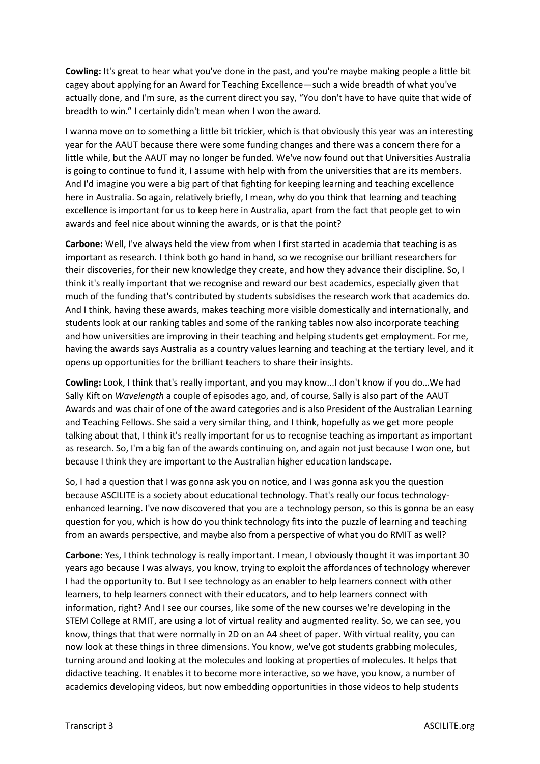**Cowling:** It's great to hear what you've done in the past, and you're maybe making people a little bit cagey about applying for an Award for Teaching Excellence—such a wide breadth of what you've actually done, and I'm sure, as the current direct you say, "You don't have to have quite that wide of breadth to win." I certainly didn't mean when I won the award.

I wanna move on to something a little bit trickier, which is that obviously this year was an interesting year for the AAUT because there were some funding changes and there was a concern there for a little while, but the AAUT may no longer be funded. We've now found out that Universities Australia is going to continue to fund it, I assume with help with from the universities that are its members. And I'd imagine you were a big part of that fighting for keeping learning and teaching excellence here in Australia. So again, relatively briefly, I mean, why do you think that learning and teaching excellence is important for us to keep here in Australia, apart from the fact that people get to win awards and feel nice about winning the awards, or is that the point?

**Carbone:** Well, I've always held the view from when I first started in academia that teaching is as important as research. I think both go hand in hand, so we recognise our brilliant researchers for their discoveries, for their new knowledge they create, and how they advance their discipline. So, I think it's really important that we recognise and reward our best academics, especially given that much of the funding that's contributed by students subsidises the research work that academics do. And I think, having these awards, makes teaching more visible domestically and internationally, and students look at our ranking tables and some of the ranking tables now also incorporate teaching and how universities are improving in their teaching and helping students get employment. For me, having the awards says Australia as a country values learning and teaching at the tertiary level, and it opens up opportunities for the brilliant teachers to share their insights.

**Cowling:** Look, I think that's really important, and you may know...I don't know if you do…We had Sally Kift on *Wavelength* a couple of episodes ago, and, of course, Sally is also part of the AAUT Awards and was chair of one of the award categories and is also President of the Australian Learning and Teaching Fellows. She said a very similar thing, and I think, hopefully as we get more people talking about that, I think it's really important for us to recognise teaching as important as important as research. So, I'm a big fan of the awards continuing on, and again not just because I won one, but because I think they are important to the Australian higher education landscape.

So, I had a question that I was gonna ask you on notice, and I was gonna ask you the question because ASCILITE is a society about educational technology. That's really our focus technologyenhanced learning. I've now discovered that you are a technology person, so this is gonna be an easy question for you, which is how do you think technology fits into the puzzle of learning and teaching from an awards perspective, and maybe also from a perspective of what you do RMIT as well?

**Carbone:** Yes, I think technology is really important. I mean, I obviously thought it was important 30 years ago because I was always, you know, trying to exploit the affordances of technology wherever I had the opportunity to. But I see technology as an enabler to help learners connect with other learners, to help learners connect with their educators, and to help learners connect with information, right? And I see our courses, like some of the new courses we're developing in the STEM College at RMIT, are using a lot of virtual reality and augmented reality. So, we can see, you know, things that that were normally in 2D on an A4 sheet of paper. With virtual reality, you can now look at these things in three dimensions. You know, we've got students grabbing molecules, turning around and looking at the molecules and looking at properties of molecules. It helps that didactive teaching. It enables it to become more interactive, so we have, you know, a number of academics developing videos, but now embedding opportunities in those videos to help students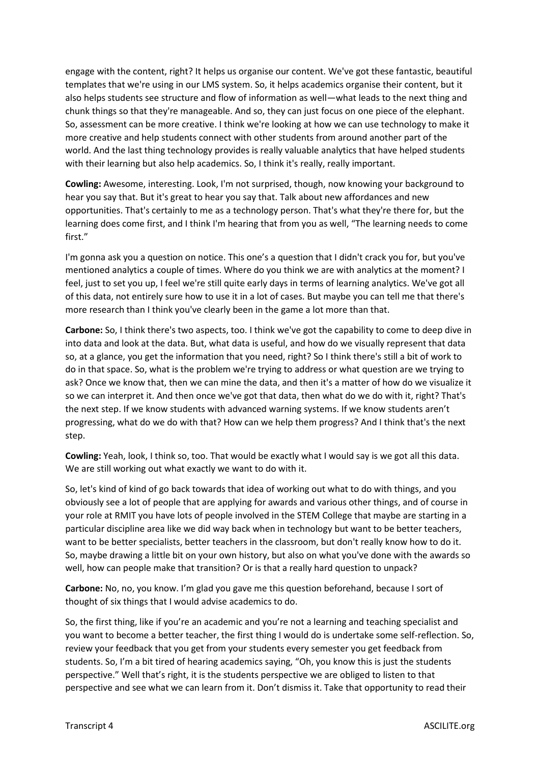engage with the content, right? It helps us organise our content. We've got these fantastic, beautiful templates that we're using in our LMS system. So, it helps academics organise their content, but it also helps students see structure and flow of information as well—what leads to the next thing and chunk things so that they're manageable. And so, they can just focus on one piece of the elephant. So, assessment can be more creative. I think we're looking at how we can use technology to make it more creative and help students connect with other students from around another part of the world. And the last thing technology provides is really valuable analytics that have helped students with their learning but also help academics. So, I think it's really, really important.

**Cowling:** Awesome, interesting. Look, I'm not surprised, though, now knowing your background to hear you say that. But it's great to hear you say that. Talk about new affordances and new opportunities. That's certainly to me as a technology person. That's what they're there for, but the learning does come first, and I think I'm hearing that from you as well, "The learning needs to come first."

I'm gonna ask you a question on notice. This one's a question that I didn't crack you for, but you've mentioned analytics a couple of times. Where do you think we are with analytics at the moment? I feel, just to set you up, I feel we're still quite early days in terms of learning analytics. We've got all of this data, not entirely sure how to use it in a lot of cases. But maybe you can tell me that there's more research than I think you've clearly been in the game a lot more than that.

**Carbone:** So, I think there's two aspects, too. I think we've got the capability to come to deep dive in into data and look at the data. But, what data is useful, and how do we visually represent that data so, at a glance, you get the information that you need, right? So I think there's still a bit of work to do in that space. So, what is the problem we're trying to address or what question are we trying to ask? Once we know that, then we can mine the data, and then it's a matter of how do we visualize it so we can interpret it. And then once we've got that data, then what do we do with it, right? That's the next step. If we know students with advanced warning systems. If we know students aren't progressing, what do we do with that? How can we help them progress? And I think that's the next step.

**Cowling:** Yeah, look, I think so, too. That would be exactly what I would say is we got all this data. We are still working out what exactly we want to do with it.

So, let's kind of kind of go back towards that idea of working out what to do with things, and you obviously see a lot of people that are applying for awards and various other things, and of course in your role at RMIT you have lots of people involved in the STEM College that maybe are starting in a particular discipline area like we did way back when in technology but want to be better teachers, want to be better specialists, better teachers in the classroom, but don't really know how to do it. So, maybe drawing a little bit on your own history, but also on what you've done with the awards so well, how can people make that transition? Or is that a really hard question to unpack?

**Carbone:** No, no, you know. I'm glad you gave me this question beforehand, because I sort of thought of six things that I would advise academics to do.

So, the first thing, like if you're an academic and you're not a learning and teaching specialist and you want to become a better teacher, the first thing I would do is undertake some self-reflection. So, review your feedback that you get from your students every semester you get feedback from students. So, I'm a bit tired of hearing academics saying, "Oh, you know this is just the students perspective." Well that's right, it is the students perspective we are obliged to listen to that perspective and see what we can learn from it. Don't dismiss it. Take that opportunity to read their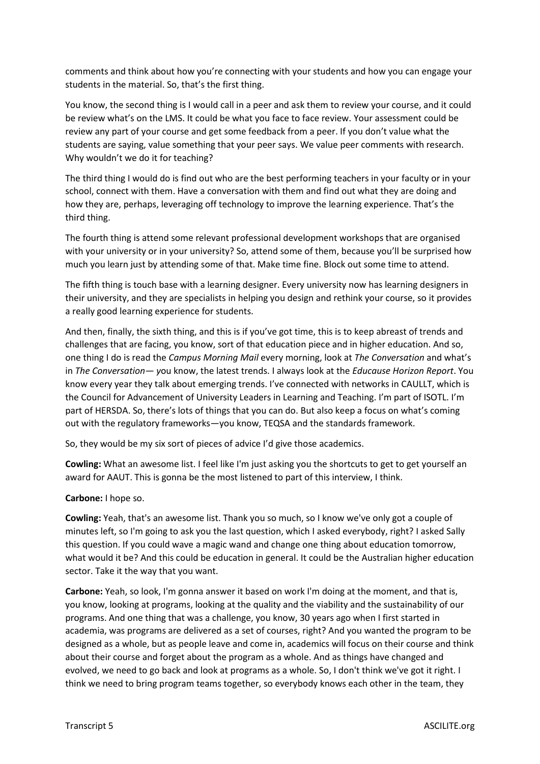comments and think about how you're connecting with your students and how you can engage your students in the material. So, that's the first thing.

You know, the second thing is I would call in a peer and ask them to review your course, and it could be review what's on the LMS. It could be what you face to face review. Your assessment could be review any part of your course and get some feedback from a peer. If you don't value what the students are saying, value something that your peer says. We value peer comments with research. Why wouldn't we do it for teaching?

The third thing I would do is find out who are the best performing teachers in your faculty or in your school, connect with them. Have a conversation with them and find out what they are doing and how they are, perhaps, leveraging off technology to improve the learning experience. That's the third thing.

The fourth thing is attend some relevant professional development workshops that are organised with your university or in your university? So, attend some of them, because you'll be surprised how much you learn just by attending some of that. Make time fine. Block out some time to attend.

The fifth thing is touch base with a learning designer. Every university now has learning designers in their university, and they are specialists in helping you design and rethink your course, so it provides a really good learning experience for students.

And then, finally, the sixth thing, and this is if you've got time, this is to keep abreast of trends and challenges that are facing, you know, sort of that education piece and in higher education. And so, one thing I do is read the *Campus Morning Mail* every morning, look at *The Conversation* and what's in *The Conversation— y*ou know, the latest trends. I always look at the *Educause Horizon Report*. You know every year they talk about emerging trends. I've connected with networks in CAULLT, which is the Council for Advancement of University Leaders in Learning and Teaching. I'm part of ISOTL. I'm part of HERSDA. So, there's lots of things that you can do. But also keep a focus on what's coming out with the regulatory frameworks—you know, TEQSA and the standards framework.

So, they would be my six sort of pieces of advice I'd give those academics.

**Cowling:** What an awesome list. I feel like I'm just asking you the shortcuts to get to get yourself an award for AAUT. This is gonna be the most listened to part of this interview, I think.

#### **Carbone:** I hope so.

**Cowling:** Yeah, that's an awesome list. Thank you so much, so I know we've only got a couple of minutes left, so I'm going to ask you the last question, which I asked everybody, right? I asked Sally this question. If you could wave a magic wand and change one thing about education tomorrow, what would it be? And this could be education in general. It could be the Australian higher education sector. Take it the way that you want.

**Carbone:** Yeah, so look, I'm gonna answer it based on work I'm doing at the moment, and that is, you know, looking at programs, looking at the quality and the viability and the sustainability of our programs. And one thing that was a challenge, you know, 30 years ago when I first started in academia, was programs are delivered as a set of courses, right? And you wanted the program to be designed as a whole, but as people leave and come in, academics will focus on their course and think about their course and forget about the program as a whole. And as things have changed and evolved, we need to go back and look at programs as a whole. So, I don't think we've got it right. I think we need to bring program teams together, so everybody knows each other in the team, they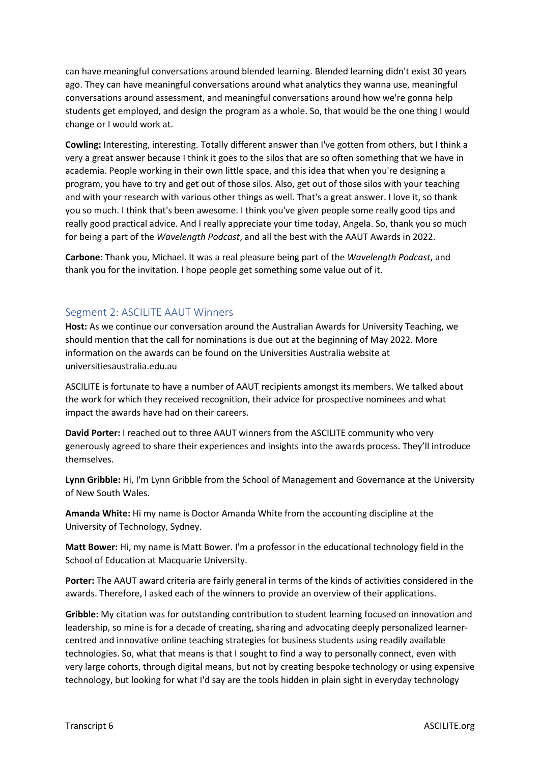can have meaningful conversations around blended learning. Blended learning didn't exist 30 years ago. They can have meaningful conversations around what analytics they wanna use, meaningful conversations around assessment, and meaningful conversations around how we're gonna help students get employed, and design the program as a whole. So, that would be the one thing I would change or I would work at.

**Cowling:** Interesting, interesting. Totally different answer than I've gotten from others, but I think a very a great answer because I think it goes to the silos that are so often something that we have in academia. People working in their own little space, and this idea that when you're designing a program, you have to try and get out of those silos. Also, get out of those silos with your teaching and with your research with various other things as well. That's a great answer. I love it, so thank you so much. I think that's been awesome. I think you've given people some really good tips and really good practical advice. And I really appreciate your time today, Angela. So, thank you so much for being a part of the *Wavelength Podcast*, and all the best with the AAUT Awards in 2022.

**Carbone:** Thank you, Michael. It was a real pleasure being part of the *Wavelength Podcast*, and thank you for the invitation. I hope people get something some value out of it.

### Segment 2: ASCILITE AAUT Winners

**Host:** As we continue our conversation around the Australian Awards for University Teaching, we should mention that the call for nominations is due out at the beginning of May 2022. More information on the awards can be found on the Universities Australia website at universitiesaustralia.edu.au

ASCILITE is fortunate to have a number of AAUT recipients amongst its members. We talked about the work for which they received recognition, their advice for prospective nominees and what impact the awards have had on their careers.

**David Porter:** I reached out to three AAUT winners from the ASCILITE community who very generously agreed to share their experiences and insights into the awards process. They'll introduce themselves.

**Lynn Gribble:** Hi, I'm Lynn Gribble from the School of Management and Governance at the University of New South Wales.

**Amanda White:** Hi my name is Doctor Amanda White from the accounting discipline at the University of Technology, Sydney.

**Matt Bower:** Hi, my name is Matt Bower. I'm a professor in the educational technology field in the School of Education at Macquarie University.

**Porter:** The AAUT award criteria are fairly general in terms of the kinds of activities considered in the awards. Therefore, I asked each of the winners to provide an overview of their applications.

**Gribble:** My citation was for outstanding contribution to student learning focused on innovation and leadership, so mine is for a decade of creating, sharing and advocating deeply personalized learnercentred and innovative online teaching strategies for business students using readily available technologies. So, what that means is that I sought to find a way to personally connect, even with very large cohorts, through digital means, but not by creating bespoke technology or using expensive technology, but looking for what I'd say are the tools hidden in plain sight in everyday technology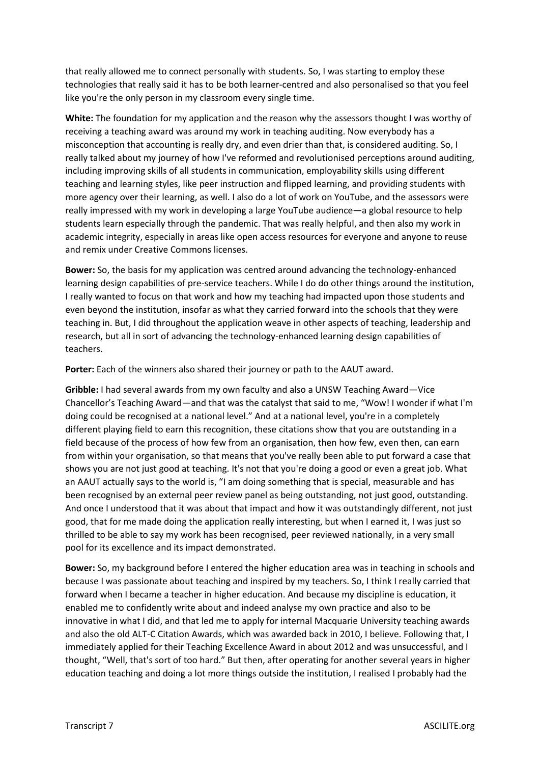that really allowed me to connect personally with students. So, I was starting to employ these technologies that really said it has to be both learner-centred and also personalised so that you feel like you're the only person in my classroom every single time.

**White:** The foundation for my application and the reason why the assessors thought I was worthy of receiving a teaching award was around my work in teaching auditing. Now everybody has a misconception that accounting is really dry, and even drier than that, is considered auditing. So, I really talked about my journey of how I've reformed and revolutionised perceptions around auditing, including improving skills of all students in communication, employability skills using different teaching and learning styles, like peer instruction and flipped learning, and providing students with more agency over their learning, as well. I also do a lot of work on YouTube, and the assessors were really impressed with my work in developing a large YouTube audience—a global resource to help students learn especially through the pandemic. That was really helpful, and then also my work in academic integrity, especially in areas like open access resources for everyone and anyone to reuse and remix under Creative Commons licenses.

**Bower:** So, the basis for my application was centred around advancing the technology-enhanced learning design capabilities of pre-service teachers. While I do do other things around the institution, I really wanted to focus on that work and how my teaching had impacted upon those students and even beyond the institution, insofar as what they carried forward into the schools that they were teaching in. But, I did throughout the application weave in other aspects of teaching, leadership and research, but all in sort of advancing the technology-enhanced learning design capabilities of teachers.

**Porter:** Each of the winners also shared their journey or path to the AAUT award.

**Gribble:** I had several awards from my own faculty and also a UNSW Teaching Award—Vice Chancellor's Teaching Award—and that was the catalyst that said to me, "Wow! I wonder if what I'm doing could be recognised at a national level." And at a national level, you're in a completely different playing field to earn this recognition, these citations show that you are outstanding in a field because of the process of how few from an organisation, then how few, even then, can earn from within your organisation, so that means that you've really been able to put forward a case that shows you are not just good at teaching. It's not that you're doing a good or even a great job. What an AAUT actually says to the world is, "I am doing something that is special, measurable and has been recognised by an external peer review panel as being outstanding, not just good, outstanding. And once I understood that it was about that impact and how it was outstandingly different, not just good, that for me made doing the application really interesting, but when I earned it, I was just so thrilled to be able to say my work has been recognised, peer reviewed nationally, in a very small pool for its excellence and its impact demonstrated.

**Bower:** So, my background before I entered the higher education area was in teaching in schools and because I was passionate about teaching and inspired by my teachers. So, I think I really carried that forward when I became a teacher in higher education. And because my discipline is education, it enabled me to confidently write about and indeed analyse my own practice and also to be innovative in what I did, and that led me to apply for internal Macquarie University teaching awards and also the old ALT-C Citation Awards, which was awarded back in 2010, I believe. Following that, I immediately applied for their Teaching Excellence Award in about 2012 and was unsuccessful, and I thought, "Well, that's sort of too hard." But then, after operating for another several years in higher education teaching and doing a lot more things outside the institution, I realised I probably had the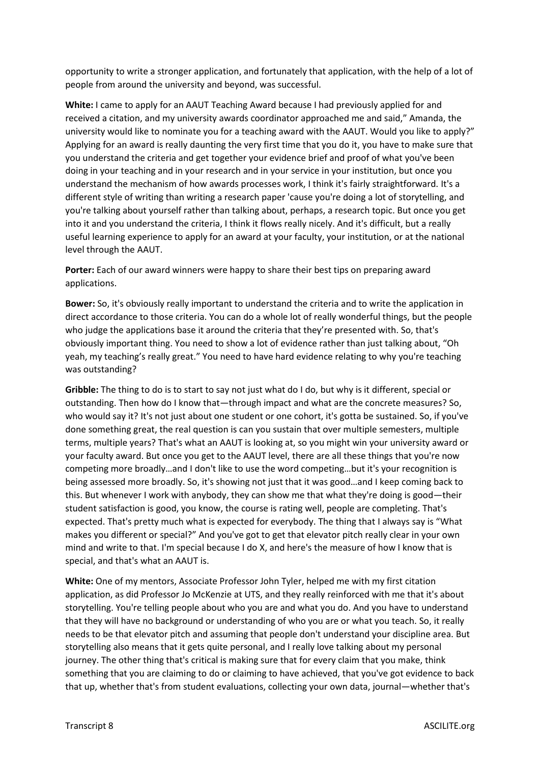opportunity to write a stronger application, and fortunately that application, with the help of a lot of people from around the university and beyond, was successful.

**White:** I came to apply for an AAUT Teaching Award because I had previously applied for and received a citation, and my university awards coordinator approached me and said," Amanda, the university would like to nominate you for a teaching award with the AAUT. Would you like to apply?" Applying for an award is really daunting the very first time that you do it, you have to make sure that you understand the criteria and get together your evidence brief and proof of what you've been doing in your teaching and in your research and in your service in your institution, but once you understand the mechanism of how awards processes work, I think it's fairly straightforward. It's a different style of writing than writing a research paper 'cause you're doing a lot of storytelling, and you're talking about yourself rather than talking about, perhaps, a research topic. But once you get into it and you understand the criteria, I think it flows really nicely. And it's difficult, but a really useful learning experience to apply for an award at your faculty, your institution, or at the national level through the AAUT.

**Porter:** Each of our award winners were happy to share their best tips on preparing award applications.

**Bower:** So, it's obviously really important to understand the criteria and to write the application in direct accordance to those criteria. You can do a whole lot of really wonderful things, but the people who judge the applications base it around the criteria that they're presented with. So, that's obviously important thing. You need to show a lot of evidence rather than just talking about, "Oh yeah, my teaching's really great." You need to have hard evidence relating to why you're teaching was outstanding?

**Gribble:** The thing to do is to start to say not just what do I do, but why is it different, special or outstanding. Then how do I know that—through impact and what are the concrete measures? So, who would say it? It's not just about one student or one cohort, it's gotta be sustained. So, if you've done something great, the real question is can you sustain that over multiple semesters, multiple terms, multiple years? That's what an AAUT is looking at, so you might win your university award or your faculty award. But once you get to the AAUT level, there are all these things that you're now competing more broadly…and I don't like to use the word competing…but it's your recognition is being assessed more broadly. So, it's showing not just that it was good…and I keep coming back to this. But whenever I work with anybody, they can show me that what they're doing is good—their student satisfaction is good, you know, the course is rating well, people are completing. That's expected. That's pretty much what is expected for everybody. The thing that I always say is "What makes you different or special?" And you've got to get that elevator pitch really clear in your own mind and write to that. I'm special because I do X, and here's the measure of how I know that is special, and that's what an AAUT is.

**White:** One of my mentors, Associate Professor John Tyler, helped me with my first citation application, as did Professor Jo McKenzie at UTS, and they really reinforced with me that it's about storytelling. You're telling people about who you are and what you do. And you have to understand that they will have no background or understanding of who you are or what you teach. So, it really needs to be that elevator pitch and assuming that people don't understand your discipline area. But storytelling also means that it gets quite personal, and I really love talking about my personal journey. The other thing that's critical is making sure that for every claim that you make, think something that you are claiming to do or claiming to have achieved, that you've got evidence to back that up, whether that's from student evaluations, collecting your own data, journal—whether that's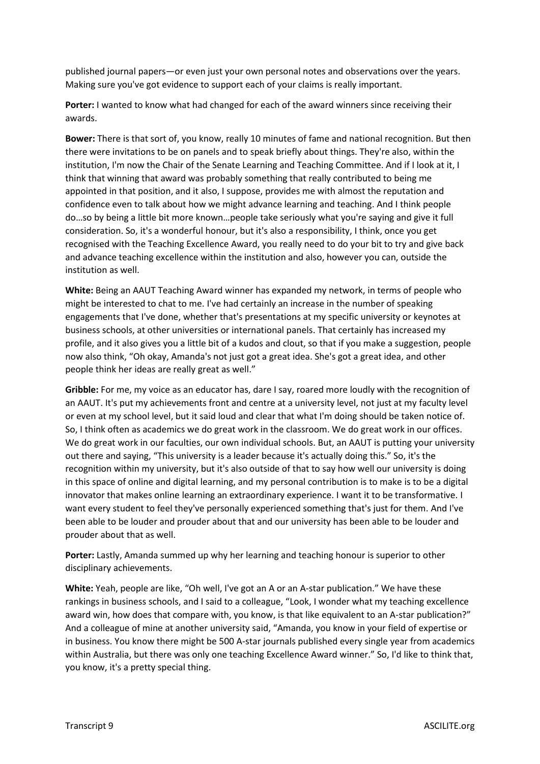published journal papers—or even just your own personal notes and observations over the years. Making sure you've got evidence to support each of your claims is really important.

**Porter:** I wanted to know what had changed for each of the award winners since receiving their awards.

**Bower:** There is that sort of, you know, really 10 minutes of fame and national recognition. But then there were invitations to be on panels and to speak briefly about things. They're also, within the institution, I'm now the Chair of the Senate Learning and Teaching Committee. And if I look at it, I think that winning that award was probably something that really contributed to being me appointed in that position, and it also, I suppose, provides me with almost the reputation and confidence even to talk about how we might advance learning and teaching. And I think people do…so by being a little bit more known…people take seriously what you're saying and give it full consideration. So, it's a wonderful honour, but it's also a responsibility, I think, once you get recognised with the Teaching Excellence Award, you really need to do your bit to try and give back and advance teaching excellence within the institution and also, however you can, outside the institution as well.

**White:** Being an AAUT Teaching Award winner has expanded my network, in terms of people who might be interested to chat to me. I've had certainly an increase in the number of speaking engagements that I've done, whether that's presentations at my specific university or keynotes at business schools, at other universities or international panels. That certainly has increased my profile, and it also gives you a little bit of a kudos and clout, so that if you make a suggestion, people now also think, "Oh okay, Amanda's not just got a great idea. She's got a great idea, and other people think her ideas are really great as well."

**Gribble:** For me, my voice as an educator has, dare I say, roared more loudly with the recognition of an AAUT. It's put my achievements front and centre at a university level, not just at my faculty level or even at my school level, but it said loud and clear that what I'm doing should be taken notice of. So, I think often as academics we do great work in the classroom. We do great work in our offices. We do great work in our faculties, our own individual schools. But, an AAUT is putting your university out there and saying, "This university is a leader because it's actually doing this." So, it's the recognition within my university, but it's also outside of that to say how well our university is doing in this space of online and digital learning, and my personal contribution is to make is to be a digital innovator that makes online learning an extraordinary experience. I want it to be transformative. I want every student to feel they've personally experienced something that's just for them. And I've been able to be louder and prouder about that and our university has been able to be louder and prouder about that as well.

**Porter:** Lastly, Amanda summed up why her learning and teaching honour is superior to other disciplinary achievements.

**White:** Yeah, people are like, "Oh well, I've got an A or an A-star publication." We have these rankings in business schools, and I said to a colleague, "Look, I wonder what my teaching excellence award win, how does that compare with, you know, is that like equivalent to an A-star publication?" And a colleague of mine at another university said, "Amanda, you know in your field of expertise or in business. You know there might be 500 A-star journals published every single year from academics within Australia, but there was only one teaching Excellence Award winner." So, I'd like to think that, you know, it's a pretty special thing.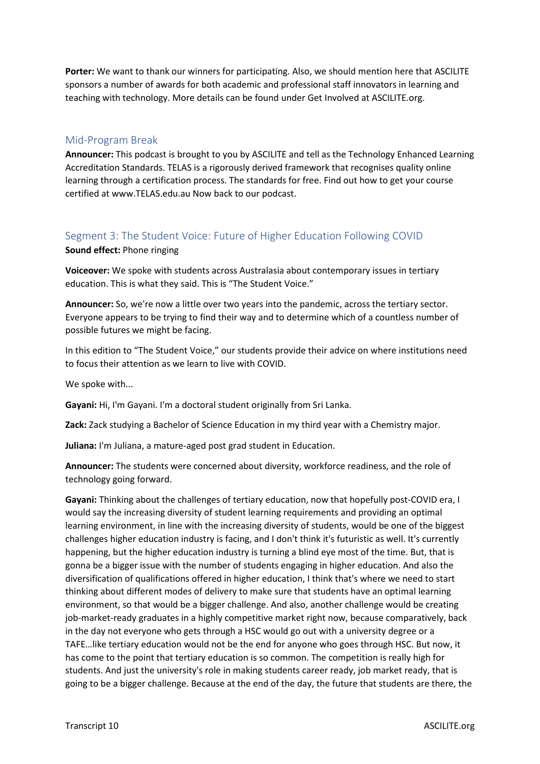**Porter:** We want to thank our winners for participating. Also, we should mention here that ASCILITE sponsors a number of awards for both academic and professional staff innovators in learning and teaching with technology. More details can be found under Get Involved at ASCILITE.org.

### Mid-Program Break

**Announcer:** This podcast is brought to you by ASCILITE and tell as the Technology Enhanced Learning Accreditation Standards. TELAS is a rigorously derived framework that recognises quality online learning through a certification process. The standards for free. Find out how to get your course certified at www.TELAS.edu.au Now back to our podcast.

## Segment 3: The Student Voice: Future of Higher Education Following COVID

#### **Sound effect:** Phone ringing

**Voiceover:** We spoke with students across Australasia about contemporary issues in tertiary education. This is what they said. This is "The Student Voice."

**Announcer:** So, we're now a little over two years into the pandemic, across the tertiary sector. Everyone appears to be trying to find their way and to determine which of a countless number of possible futures we might be facing.

In this edition to "The Student Voice," our students provide their advice on where institutions need to focus their attention as we learn to live with COVID.

We spoke with...

**Gayani:** Hi, I'm Gayani. I'm a doctoral student originally from Sri Lanka.

**Zack:** Zack studying a Bachelor of Science Education in my third year with a Chemistry major.

**Juliana:** I'm Juliana, a mature-aged post grad student in Education.

**Announcer:** The students were concerned about diversity, workforce readiness, and the role of technology going forward.

**Gayani:** Thinking about the challenges of tertiary education, now that hopefully post-COVID era, I would say the increasing diversity of student learning requirements and providing an optimal learning environment, in line with the increasing diversity of students, would be one of the biggest challenges higher education industry is facing, and I don't think it's futuristic as well. It's currently happening, but the higher education industry is turning a blind eye most of the time. But, that is gonna be a bigger issue with the number of students engaging in higher education. And also the diversification of qualifications offered in higher education, I think that's where we need to start thinking about different modes of delivery to make sure that students have an optimal learning environment, so that would be a bigger challenge. And also, another challenge would be creating job-market-ready graduates in a highly competitive market right now, because comparatively, back in the day not everyone who gets through a HSC would go out with a university degree or a TAFE…like tertiary education would not be the end for anyone who goes through HSC. But now, it has come to the point that tertiary education is so common. The competition is really high for students. And just the university's role in making students career ready, job market ready, that is going to be a bigger challenge. Because at the end of the day, the future that students are there, the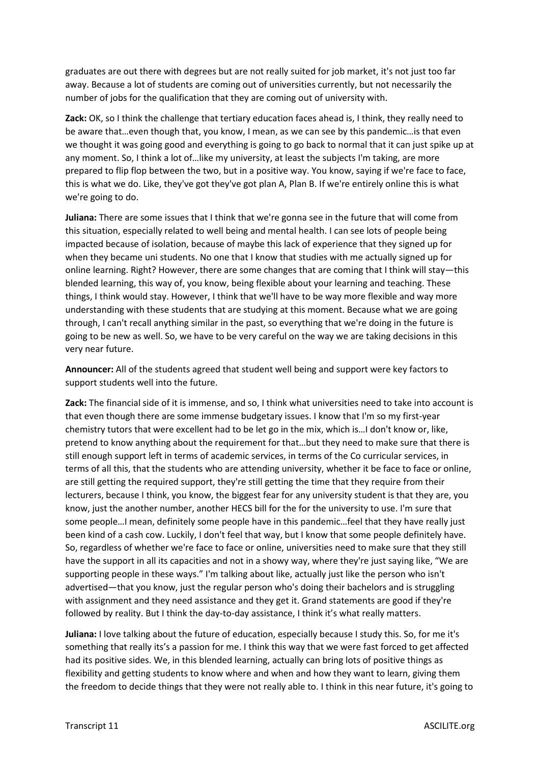graduates are out there with degrees but are not really suited for job market, it's not just too far away. Because a lot of students are coming out of universities currently, but not necessarily the number of jobs for the qualification that they are coming out of university with.

**Zack:** OK, so I think the challenge that tertiary education faces ahead is, I think, they really need to be aware that…even though that, you know, I mean, as we can see by this pandemic…is that even we thought it was going good and everything is going to go back to normal that it can just spike up at any moment. So, I think a lot of…like my university, at least the subjects I'm taking, are more prepared to flip flop between the two, but in a positive way. You know, saying if we're face to face, this is what we do. Like, they've got they've got plan A, Plan B. If we're entirely online this is what we're going to do.

**Juliana:** There are some issues that I think that we're gonna see in the future that will come from this situation, especially related to well being and mental health. I can see lots of people being impacted because of isolation, because of maybe this lack of experience that they signed up for when they became uni students. No one that I know that studies with me actually signed up for online learning. Right? However, there are some changes that are coming that I think will stay—this blended learning, this way of, you know, being flexible about your learning and teaching. These things, I think would stay. However, I think that we'll have to be way more flexible and way more understanding with these students that are studying at this moment. Because what we are going through, I can't recall anything similar in the past, so everything that we're doing in the future is going to be new as well. So, we have to be very careful on the way we are taking decisions in this very near future.

**Announcer:** All of the students agreed that student well being and support were key factors to support students well into the future.

**Zack:** The financial side of it is immense, and so, I think what universities need to take into account is that even though there are some immense budgetary issues. I know that I'm so my first-year chemistry tutors that were excellent had to be let go in the mix, which is…I don't know or, like, pretend to know anything about the requirement for that…but they need to make sure that there is still enough support left in terms of academic services, in terms of the Co curricular services, in terms of all this, that the students who are attending university, whether it be face to face or online, are still getting the required support, they're still getting the time that they require from their lecturers, because I think, you know, the biggest fear for any university student is that they are, you know, just the another number, another HECS bill for the for the university to use. I'm sure that some people…I mean, definitely some people have in this pandemic…feel that they have really just been kind of a cash cow. Luckily, I don't feel that way, but I know that some people definitely have. So, regardless of whether we're face to face or online, universities need to make sure that they still have the support in all its capacities and not in a showy way, where they're just saying like, "We are supporting people in these ways." I'm talking about like, actually just like the person who isn't advertised—that you know, just the regular person who's doing their bachelors and is struggling with assignment and they need assistance and they get it. Grand statements are good if they're followed by reality. But I think the day-to-day assistance, I think it's what really matters.

**Juliana:** I love talking about the future of education, especially because I study this. So, for me it's something that really its's a passion for me. I think this way that we were fast forced to get affected had its positive sides. We, in this blended learning, actually can bring lots of positive things as flexibility and getting students to know where and when and how they want to learn, giving them the freedom to decide things that they were not really able to. I think in this near future, it's going to